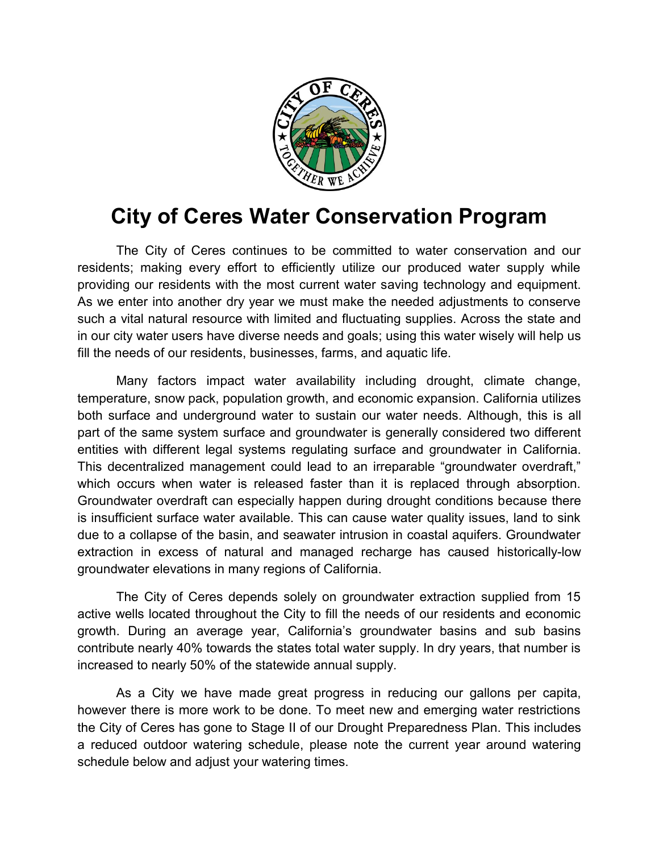

# **City of Ceres Water Conservation Program**

The City of Ceres continues to be committed to water conservation and our residents; making every effort to efficiently utilize our produced water supply while providing our residents with the most current water saving technology and equipment. As we enter into another dry year we must make the needed adjustments to conserve such a vital natural resource with limited and fluctuating supplies. Across the state and in our city water users have diverse needs and goals; using this water wisely will help us fill the needs of our residents, businesses, farms, and aquatic life.

Many factors impact water availability including drought, climate change, temperature, snow pack, population growth, and economic expansion. California utilizes both surface and underground water to sustain our water needs. Although, this is all part of the same system surface and groundwater is generally considered two different entities with different legal systems regulating surface and groundwater in California. This decentralized management could lead to an irreparable "groundwater overdraft," which occurs when water is released faster than it is replaced through absorption. Groundwater overdraft can especially happen during drought conditions because there is insufficient surface water available. This can cause water quality issues, land to sink due to a collapse of the basin, and seawater intrusion in coastal aquifers. Groundwater extraction in excess of natural and managed recharge has caused historically-low groundwater elevations in many regions of California.

The City of Ceres depends solely on groundwater extraction supplied from 15 active wells located throughout the City to fill the needs of our residents and economic growth. During an average year, California's groundwater basins and sub basins contribute nearly 40% towards the states total water supply. In dry years, that number is increased to nearly 50% of the statewide annual supply.

As a City we have made great progress in reducing our gallons per capita, however there is more work to be done. To meet new and emerging water restrictions the City of Ceres has gone to Stage II of our Drought Preparedness Plan. This includes a reduced outdoor watering schedule, please note the current year around watering schedule below and adjust your watering times.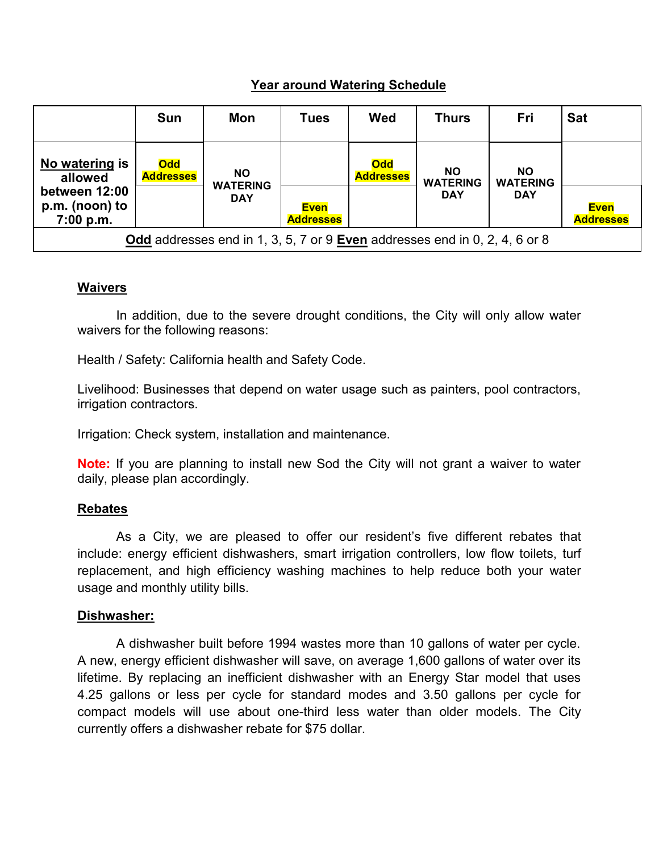# **Year around Watering Schedule**

|                                                                            | <b>Sun</b>                     | Mon                                        | <b>Tues</b>                     | Wed                            | <b>Thurs</b>                               | Fri                                        | <b>Sat</b>                      |
|----------------------------------------------------------------------------|--------------------------------|--------------------------------------------|---------------------------------|--------------------------------|--------------------------------------------|--------------------------------------------|---------------------------------|
| No watering is<br>allowed<br>between 12:00<br>p.m. (noon) to<br>7:00 p.m.  | <b>Odd</b><br><b>Addresses</b> | <b>NO</b><br><b>WATERING</b><br><b>DAY</b> |                                 | <b>Odd</b><br><b>Addresses</b> | <b>NO</b><br><b>WATERING</b><br><b>DAY</b> | <b>NO</b><br><b>WATERING</b><br><b>DAY</b> |                                 |
|                                                                            |                                |                                            | <b>Even</b><br><b>Addresses</b> |                                |                                            |                                            | <b>Even</b><br><b>Addresses</b> |
| Odd addresses end in 1, 3, 5, 7 or 9 Even addresses end in 0, 2, 4, 6 or 8 |                                |                                            |                                 |                                |                                            |                                            |                                 |

## **Waivers**

In addition, due to the severe drought conditions, the City will only allow water waivers for the following reasons:

Health / Safety: California health and Safety Code.

Livelihood: Businesses that depend on water usage such as painters, pool contractors, irrigation contractors.

Irrigation: Check system, installation and maintenance.

**Note:** If you are planning to install new Sod the City will not grant a waiver to water daily, please plan accordingly.

#### **Rebates**

As a City, we are pleased to offer our resident's five different rebates that include: energy efficient dishwashers, smart irrigation controllers, low flow toilets, turf replacement, and high efficiency washing machines to help reduce both your water usage and monthly utility bills.

#### **Dishwasher:**

A dishwasher built before 1994 wastes more than 10 gallons of water per cycle. A new, energy efficient dishwasher will save, on average 1,600 gallons of water over its lifetime. By replacing an inefficient dishwasher with an Energy Star model that uses 4.25 gallons or less per cycle for standard modes and 3.50 gallons per cycle for compact models will use about one-third less water than older models. The City currently offers a dishwasher rebate for \$75 dollar.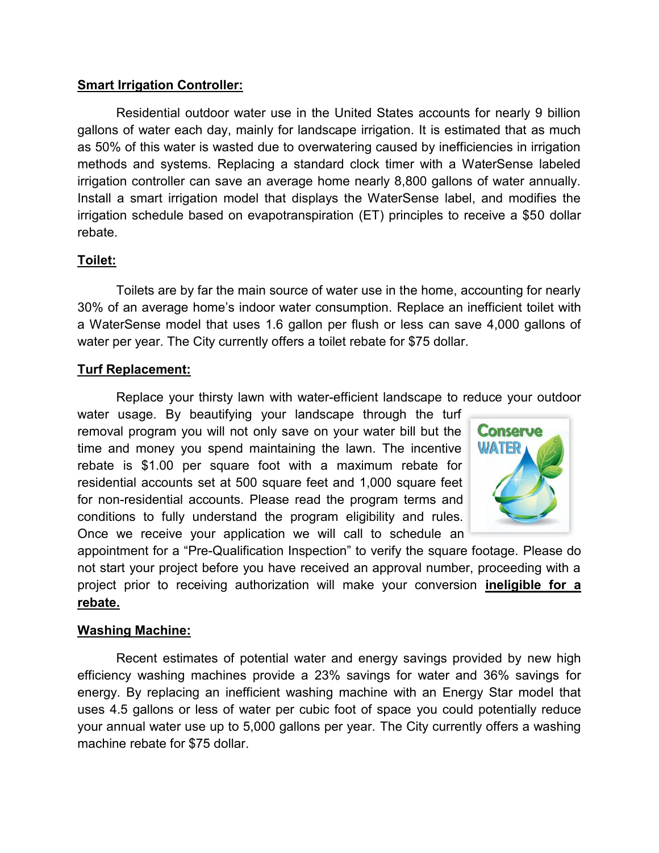## **Smart Irrigation Controller:**

Residential outdoor water use in the United States accounts for nearly 9 billion gallons of water each day, mainly for landscape irrigation. It is estimated that as much as 50% of this water is wasted due to overwatering caused by inefficiencies in irrigation methods and systems. Replacing a standard clock timer with a WaterSense labeled irrigation controller can save an average home nearly 8,800 gallons of water annually. Install a smart irrigation model that displays the WaterSense label, and modifies the irrigation schedule based on evapotranspiration (ET) principles to receive a \$50 dollar rebate.

## **Toilet:**

Toilets are by far the main source of water use in the home, accounting for nearly 30% of an average home's indoor water consumption. Replace an inefficient toilet with a WaterSense model that uses 1.6 gallon per flush or less can save 4,000 gallons of water per year. The City currently offers a toilet rebate for \$75 dollar.

## **Turf Replacement:**

Replace your thirsty lawn with water-efficient landscape to reduce your outdoor

water usage. By beautifying your landscape through the turf removal program you will not only save on your water bill but the time and money you spend maintaining the lawn. The incentive rebate is \$1.00 per square foot with a maximum rebate for residential accounts set at 500 square feet and 1,000 square feet for non-residential accounts. Please read the program terms and conditions to fully understand the program eligibility and rules. Once we receive your application we will call to schedule an



appointment for a "Pre-Qualification Inspection" to verify the square footage. Please do not start your project before you have received an approval number, proceeding with a project prior to receiving authorization will make your conversion **ineligible for a rebate.**

#### **Washing Machine:**

Recent estimates of potential water and energy savings provided by new high efficiency washing machines provide a 23% savings for water and 36% savings for energy. By replacing an inefficient washing machine with an Energy Star model that uses 4.5 gallons or less of water per cubic foot of space you could potentially reduce your annual water use up to 5,000 gallons per year. The City currently offers a washing machine rebate for \$75 dollar.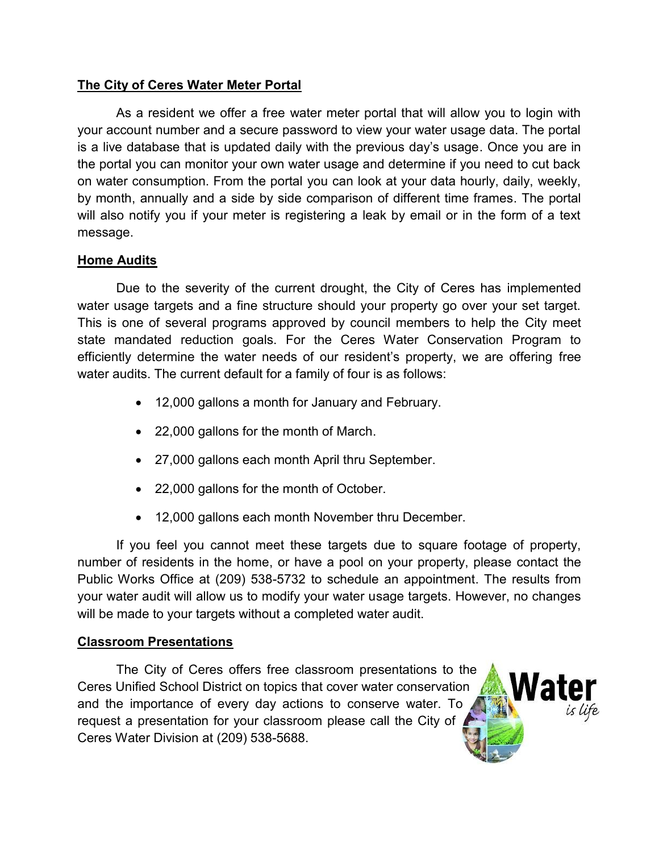# **The City of Ceres Water Meter Portal**

As a resident we offer a free water meter portal that will allow you to login with your account number and a secure password to view your water usage data. The portal is a live database that is updated daily with the previous day's usage. Once you are in the portal you can monitor your own water usage and determine if you need to cut back on water consumption. From the portal you can look at your data hourly, daily, weekly, by month, annually and a side by side comparison of different time frames. The portal will also notify you if your meter is registering a leak by email or in the form of a text message.

# **Home Audits**

Due to the severity of the current drought, the City of Ceres has implemented water usage targets and a fine structure should your property go over your set target. This is one of several programs approved by council members to help the City meet state mandated reduction goals. For the Ceres Water Conservation Program to efficiently determine the water needs of our resident's property, we are offering free water audits. The current default for a family of four is as follows:

- 12,000 gallons a month for January and February.
- 22,000 gallons for the month of March.
- 27,000 gallons each month April thru September.
- 22,000 gallons for the month of October.
- 12,000 gallons each month November thru December.

If you feel you cannot meet these targets due to square footage of property, number of residents in the home, or have a pool on your property, please contact the Public Works Office at (209) 538-5732 to schedule an appointment. The results from your water audit will allow us to modify your water usage targets. However, no changes will be made to your targets without a completed water audit.

# **Classroom Presentations**

The City of Ceres offers free classroom presentations to the Ceres Unified School District on topics that cover water conservation and the importance of every day actions to conserve water. To request a presentation for your classroom please call the City of Ceres Water Division at (209) 538-5688.

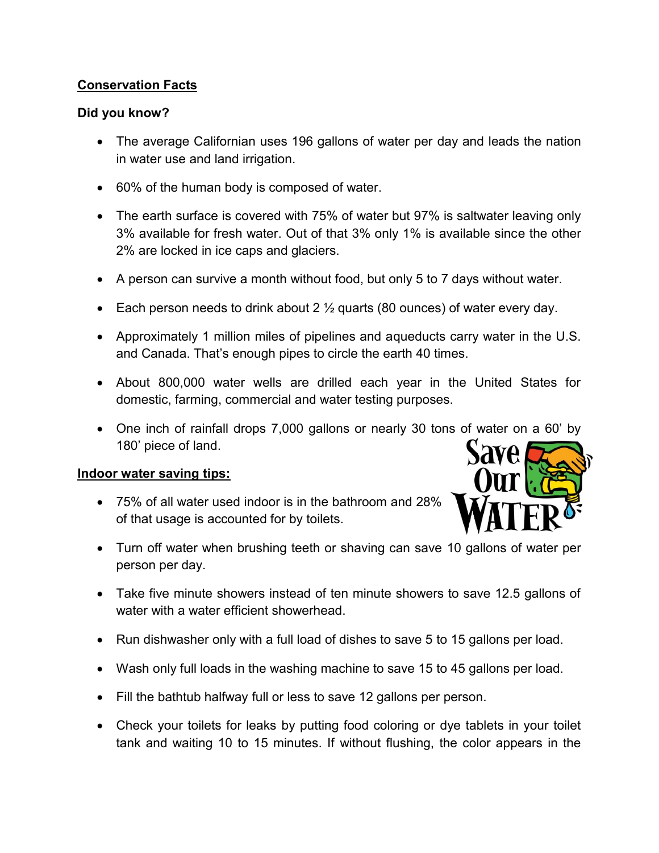# **Conservation Facts**

## **Did you know?**

- The average Californian uses 196 gallons of water per day and leads the nation in water use and land irrigation.
- 60% of the human body is composed of water.
- The earth surface is covered with 75% of water but 97% is saltwater leaving only 3% available for fresh water. Out of that 3% only 1% is available since the other 2% are locked in ice caps and glaciers.
- A person can survive a month without food, but only 5 to 7 days without water.
- Each person needs to drink about 2  $\frac{1}{2}$  quarts (80 ounces) of water every day.
- Approximately 1 million miles of pipelines and aqueducts carry water in the U.S. and Canada. That's enough pipes to circle the earth 40 times.
- About 800,000 water wells are drilled each year in the United States for domestic, farming, commercial and water testing purposes.
- One inch of rainfall drops 7,000 gallons or nearly 30 tons of water on a 60' by 180' piece of land.

# **Indoor water saving tips:**

 75% of all water used indoor is in the bathroom and 28% of that usage is accounted for by toilets.



- Turn off water when brushing teeth or shaving can save 10 gallons of water per person per day.
- Take five minute showers instead of ten minute showers to save 12.5 gallons of water with a water efficient showerhead.
- Run dishwasher only with a full load of dishes to save 5 to 15 gallons per load.
- Wash only full loads in the washing machine to save 15 to 45 gallons per load.
- Fill the bathtub halfway full or less to save 12 gallons per person.
- Check your toilets for leaks by putting food coloring or dye tablets in your toilet tank and waiting 10 to 15 minutes. If without flushing, the color appears in the